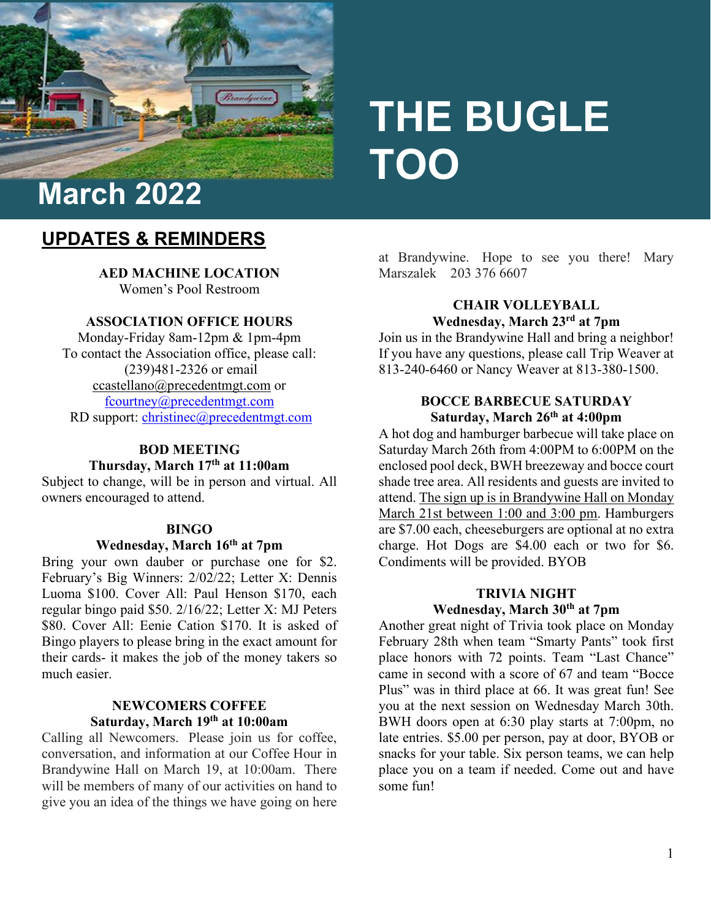

# **THE BUGLE TOO**

# **UPDATES & REMINDERS**

**AED MACHINE LOCATION**  Women's Pool Restroom

## **ASSOCIATION OFFICE HOURS**

Monday-Friday 8am-12pm & 1pm-4pm To contact the Association office, please call: (239)481-2326 or email [ccastellano@precedentmgt.com](mailto:ccastellano@precedentmgt.com) or [fcourtney@precedentmgt.com](mailto:fcourtney@precedentmgt.com) RD support: [christinec@precedentmgt.com](mailto:christinec@precedentmgt.com)

#### **BOD MEETING Thursday, March 17th at 11:00am**

Subject to change, will be in person and virtual. All owners encouraged to attend.

#### **BINGO**

#### **Wednesday, March 16th at 7pm**

Bring your own dauber or purchase one for \$2. February's Big Winners: 2/02/22; Letter X: Dennis Luoma \$100. Cover All: Paul Henson \$170, each regular bingo paid \$50. 2/16/22; Letter X: MJ Peters \$80. Cover All: Eenie Cation \$170. It is asked of Bingo players to please bring in the exact amount for their cards- it makes the job of the money takers so much easier.

#### **NEWCOMERS COFFEE Saturday, March 19th at 10:00am**

Calling all Newcomers. Please join us for coffee, conversation, and information at our Coffee Hour in Brandywine Hall on March 19, at 10:00am. There will be members of many of our activities on hand to give you an idea of the things we have going on here

at Brandywine. Hope to see you there! Mary Marszalek 203 376 6607

#### **CHAIR VOLLEYBALL Wednesday, March 23rd at 7pm**

Join us in the Brandywine Hall and bring a neighbor! If you have any questions, please call Trip Weaver at 813-240-6460 or Nancy Weaver at 813-380-1500.

#### **BOCCE BARBECUE SATURDAY Saturday, March 26th at 4:00pm**

A hot dog and hamburger barbecue will take place on Saturday March 26th from 4:00PM to 6:00PM on the enclosed pool deck, BWH breezeway and bocce court shade tree area. All residents and guests are invited to attend. The sign up is in Brandywine Hall on Monday March 21st between 1:00 and 3:00 pm. Hamburgers are \$7.00 each, cheeseburgers are optional at no extra charge. Hot Dogs are \$4.00 each or two for \$6. Condiments will be provided. BYOB

# **TRIVIA NIGHT Wednesday, March 30th at 7pm**

Another great night of Trivia took place on Monday February 28th when team "Smarty Pants" took first place honors with 72 points. Team "Last Chance" came in second with a score of 67 and team "Bocce Plus" was in third place at 66. It was great fun! See you at the next session on Wednesday March 30th. BWH doors open at 6:30 play starts at 7:00pm, no late entries. \$5.00 per person, pay at door, BYOB or snacks for your table. Six person teams, we can help place you on a team if needed. Come out and have some fun!